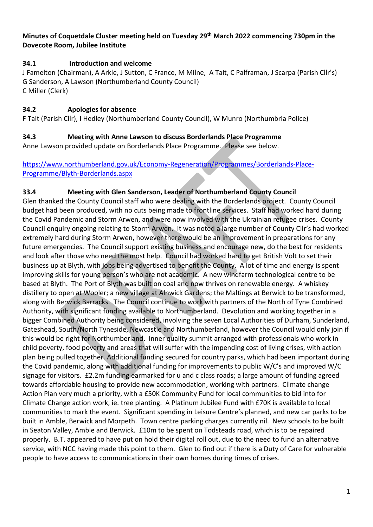#### **Minutes of Coquetdale Cluster meeting held on Tuesday 29th March 2022 commencing 730pm in the Dovecote Room, Jubilee Institute**

### **34.1 Introduction and welcome**

J Famelton (Chairman), A Arkle, J Sutton, C France, M Milne, A Tait, C Palframan, J Scarpa (Parish Cllr's) G Sanderson, A Lawson (Northumberland County Council) C Miller (Clerk)

# **34.2 Apologies for absence**

F Tait (Parish Cllr), I Hedley (Northumberland County Council), W Munro (Northumbria Police)

### **34.3 Meeting with Anne Lawson to discuss Borderlands Place Programme**

Anne Lawson provided update on Borderlands Place Programme. Please see below.

#### [https://www.northumberland.gov.uk/Economy-Regeneration/Programmes/Borderlands-Place-](https://www.northumberland.gov.uk/Economy-Regeneration/Programmes/Borderlands-Place-Programme/Blyth-Borderlands.aspx)[Programme/Blyth-Borderlands.aspx](https://www.northumberland.gov.uk/Economy-Regeneration/Programmes/Borderlands-Place-Programme/Blyth-Borderlands.aspx)

### **33.4 Meeting with Glen Sanderson, Leader of Northumberland County Council**

Glen thanked the County Council staff who were dealing with the Borderlands project. County Council budget had been produced, with no cuts being made to frontline services. Staff had worked hard during the Covid Pandemic and Storm Arwen, and were now involved with the Ukrainian refugee crises. County Council enquiry ongoing relating to Storm Arwen. It was noted a large number of County Cllr's had worked extremely hard during Storm Arwen, however there would be an improvement in preparations for any future emergencies. The Council support existing business and encourage new, do the best for residents and look after those who need the most help. Council had worked hard to get British Volt to set their business up at Blyth, with jobs being advertised to benefit the County. A lot of time and energy is spent improving skills for young person's who are not academic. A new windfarm technological centre to be based at Blyth. The Port of Blyth was built on coal and now thrives on renewable energy. A whiskey distillery to open at Wooler; a new village at Alnwick Gardens; the Maltings at Berwick to be transformed, along with Berwick Barracks. The Council continue to work with partners of the North of Tyne Combined Authority, with significant funding available to Northumberland. Devolution and working together in a bigger Combined Authority being considered, involving the seven Local Authorities of Durham, Sunderland, Gateshead, South/North Tyneside, Newcastle and Northumberland, however the Council would only join if this would be right for Northumberland. Inner quality summit arranged with professionals who work in child poverty, food poverty and areas that will suffer with the impending cost of living crises, with action plan being pulled together. Additional funding secured for country parks, which had been important during the Covid pandemic, along with additional funding for improvements to public W/C's and improved W/C signage for visitors. £2.2m funding earmarked for u and c class roads; a large amount of funding agreed towards affordable housing to provide new accommodation, working with partners. Climate change Action Plan very much a priority, with a £50K Community Fund for local communities to bid into for Climate Change action work, ie. tree planting. A Platinum Jubilee Fund with £70K is available to local communities to mark the event. Significant spending in Leisure Centre's planned, and new car parks to be built in Amble, Berwick and Morpeth. Town centre parking charges currently nil. New schools to be built in Seaton Valley, Amble and Berwick. £10m to be spent on Todsteads road, which is to be repaired properly. B.T. appeared to have put on hold their digital roll out, due to the need to fund an alternative service, with NCC having made this point to them. Glen to find out if there is a Duty of Care for vulnerable people to have access to communications in their own homes during times of crises.